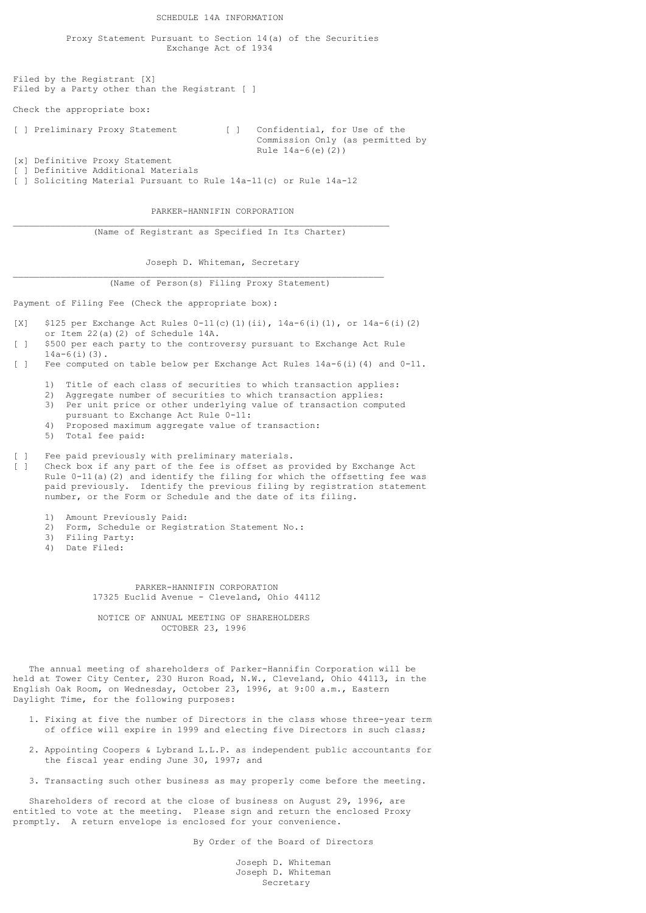SCHEDULE 14A INFORMATION

 Proxy Statement Pursuant to Section 14(a) of the Securities Exchange Act of 1934

Filed by the Registrant [X] Filed by a Party other than the Registrant [ ]

Check the appropriate box:

[ ] Preliminary Proxy Statement [ ] Confidential, for Use of the Commission Only (as permitted by Rule 14a-6(e)(2))

[x] Definitive Proxy Statement [ ] Definitive Additional Materials

[ ] Soliciting Material Pursuant to Rule 14a-11(c) or Rule 14a-12

PARKER-HANNIFIN CORPORATION

(Name of Registrant as Specified In Its Charter)

 $\mathcal{L}_\text{max}$ 

\_\_\_\_\_\_\_\_\_\_\_\_\_\_\_\_\_\_\_\_\_\_\_\_\_\_\_\_\_\_\_\_\_\_\_\_\_\_\_\_\_\_\_\_\_\_\_\_\_\_\_\_\_\_\_\_\_\_\_\_\_\_\_\_\_\_\_\_\_\_

Joseph D. Whiteman, Secretary

(Name of Person(s) Filing Proxy Statement)

Payment of Filing Fee (Check the appropriate box):

[X]  $$125$  per Exchange Act Rules 0-11(c)(1)(ii),  $14a-6(i)(1)$ , or  $14a-6(i)(2)$ or Item 22(a)(2) of Schedule 14A.

- [ ] \$500 per each party to the controversy pursuant to Exchange Act Rule  $14a-6(i)(3)$ .
- [ ] Fee computed on table below per Exchange Act Rules 14a-6(i)(4) and 0-11.
	- 1) Title of each class of securities to which transaction applies:
	- 2) Aggregate number of securities to which transaction applies:
	- 3) Per unit price or other underlying value of transaction computed pursuant to Exchange Act Rule 0-11:
	- 4) Proposed maximum aggregate value of transaction:
	- 5) Total fee paid:

Fee paid previously with preliminary materials.

- [ ] Check box if any part of the fee is offset as provided by Exchange Act Rule  $0-11$ (a)(2) and identify the filing for which the offsetting fee was paid previously. Identify the previous filing by registration statement number, or the Form or Schedule and the date of its filing.
	- 1) Amount Previously Paid:
	- 2) Form, Schedule or Registration Statement No.:
- 3) Filing Party:
- 4) Date Filed:

 PARKER-HANNIFIN CORPORATION 17325 Euclid Avenue - Cleveland, Ohio 44112

 NOTICE OF ANNUAL MEETING OF SHAREHOLDERS OCTOBER 23, 1996

 The annual meeting of shareholders of Parker-Hannifin Corporation will be held at Tower City Center, 230 Huron Road, N.W., Cleveland, Ohio 44113, in the English Oak Room, on Wednesday, October 23, 1996, at 9:00 a.m., Eastern Daylight Time, for the following purposes:

- 1. Fixing at five the number of Directors in the class whose three-year term of office will expire in 1999 and electing five Directors in such class;
- 2. Appointing Coopers & Lybrand L.L.P. as independent public accountants for the fiscal year ending June 30, 1997; and
- 3. Transacting such other business as may properly come before the meeting.

 Shareholders of record at the close of business on August 29, 1996, are entitled to vote at the meeting. Please sign and return the enclosed Proxy promptly. A return envelope is enclosed for your convenience.

By Order of the Board of Directors

 Joseph D. Whiteman Joseph D. Whiteman Secretary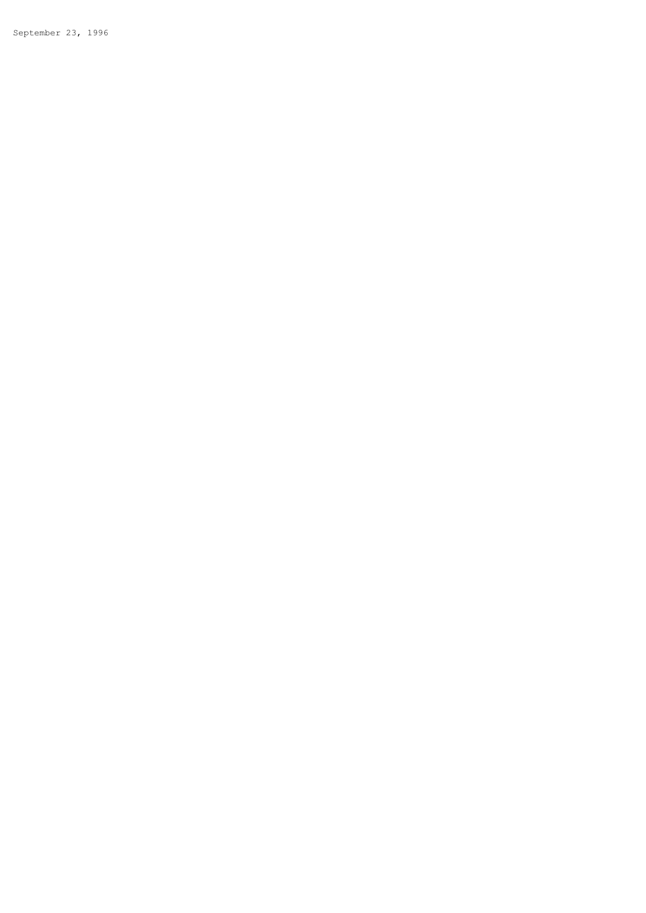September 23, 1996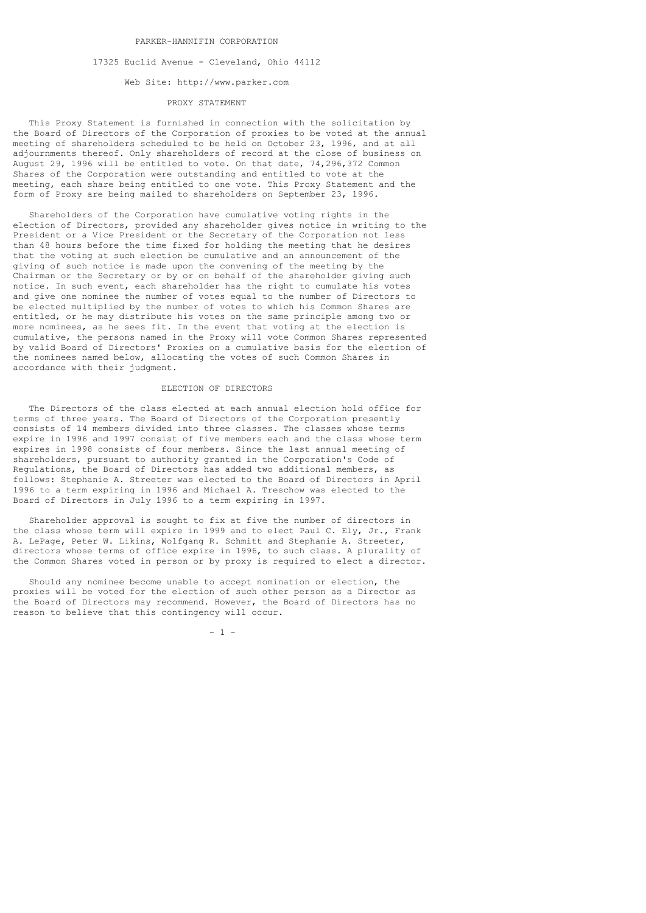#### PARKER-HANNIFIN CORPORATION

### 17325 Euclid Avenue - Cleveland, Ohio 44112

## Web Site: http://www.parker.com

# PROXY STATEMENT

 This Proxy Statement is furnished in connection with the solicitation by the Board of Directors of the Corporation of proxies to be voted at the annual meeting of shareholders scheduled to be held on October 23, 1996, and at all adjournments thereof. Only shareholders of record at the close of business on August 29, 1996 will be entitled to vote. On that date, 74,296,372 Common Shares of the Corporation were outstanding and entitled to vote at the meeting, each share being entitled to one vote. This Proxy Statement and the form of Proxy are being mailed to shareholders on September 23, 1996.

 Shareholders of the Corporation have cumulative voting rights in the election of Directors, provided any shareholder gives notice in writing to the President or a Vice President or the Secretary of the Corporation not less than 48 hours before the time fixed for holding the meeting that he desires that the voting at such election be cumulative and an announcement of the giving of such notice is made upon the convening of the meeting by the Chairman or the Secretary or by or on behalf of the shareholder giving such notice. In such event, each shareholder has the right to cumulate his votes and give one nominee the number of votes equal to the number of Directors to be elected multiplied by the number of votes to which his Common Shares are entitled, or he may distribute his votes on the same principle among two or more nominees, as he sees fit. In the event that voting at the election is cumulative, the persons named in the Proxy will vote Common Shares represented by valid Board of Directors' Proxies on a cumulative basis for the election of the nominees named below, allocating the votes of such Common Shares in accordance with their judgment.

### ELECTION OF DIRECTORS

 The Directors of the class elected at each annual election hold office for terms of three years. The Board of Directors of the Corporation presently consists of 14 members divided into three classes. The classes whose terms expire in 1996 and 1997 consist of five members each and the class whose term expires in 1998 consists of four members. Since the last annual meeting of shareholders, pursuant to authority granted in the Corporation's Code of Regulations, the Board of Directors has added two additional members, as follows: Stephanie A. Streeter was elected to the Board of Directors in April 1996 to a term expiring in 1996 and Michael A. Treschow was elected to the Board of Directors in July 1996 to a term expiring in 1997.

 Shareholder approval is sought to fix at five the number of directors in the class whose term will expire in 1999 and to elect Paul C. Ely, Jr., Frank A. LePage, Peter W. Likins, Wolfgang R. Schmitt and Stephanie A. Streeter, directors whose terms of office expire in 1996, to such class. A plurality of the Common Shares voted in person or by proxy is required to elect a director.

 Should any nominee become unable to accept nomination or election, the proxies will be voted for the election of such other person as a Director as the Board of Directors may recommend. However, the Board of Directors has no reason to believe that this contingency will occur.

 $-1$  -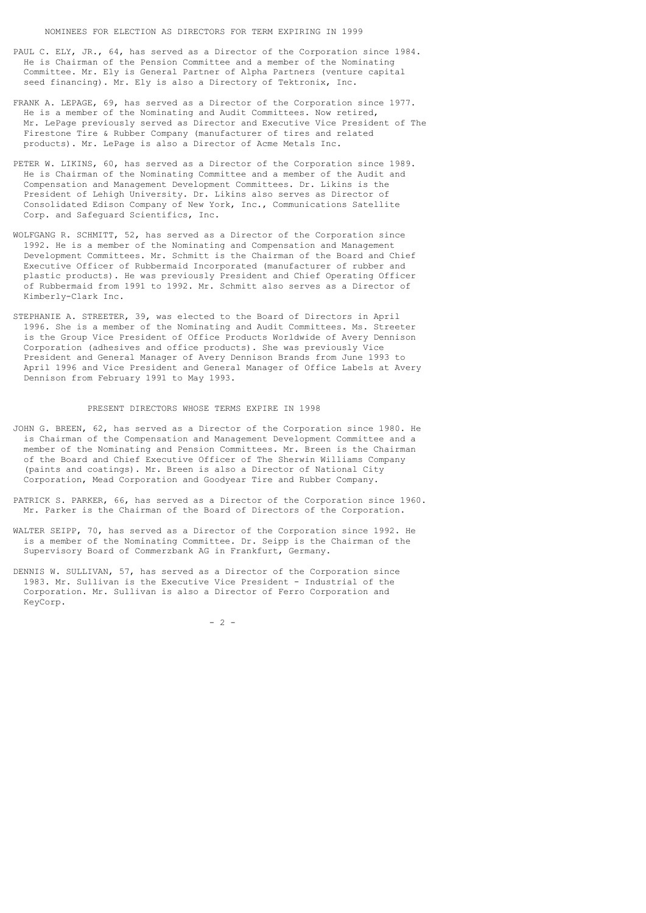- PAUL C. ELY, JR., 64, has served as a Director of the Corporation since 1984. He is Chairman of the Pension Committee and a member of the Nominating Committee. Mr. Ely is General Partner of Alpha Partners (venture capital seed financing). Mr. Ely is also a Directory of Tektronix, Inc.
- FRANK A. LEPAGE, 69, has served as a Director of the Corporation since 1977. He is a member of the Nominating and Audit Committees. Now retired, Mr. LePage previously served as Director and Executive Vice President of The Firestone Tire & Rubber Company (manufacturer of tires and related products). Mr. LePage is also a Director of Acme Metals Inc.
- PETER W. LIKINS, 60, has served as a Director of the Corporation since 1989. He is Chairman of the Nominating Committee and a member of the Audit and Compensation and Management Development Committees. Dr. Likins is the President of Lehigh University. Dr. Likins also serves as Director of Consolidated Edison Company of New York, Inc., Communications Satellite Corp. and Safeguard Scientifics, Inc.
- WOLFGANG R. SCHMITT, 52, has served as a Director of the Corporation since 1992. He is a member of the Nominating and Compensation and Management Development Committees. Mr. Schmitt is the Chairman of the Board and Chief Executive Officer of Rubbermaid Incorporated (manufacturer of rubber and plastic products). He was previously President and Chief Operating Officer of Rubbermaid from 1991 to 1992. Mr. Schmitt also serves as a Director of Kimberly-Clark Inc.
- STEPHANIE A. STREETER, 39, was elected to the Board of Directors in April 1996. She is a member of the Nominating and Audit Committees. Ms. Streeter is the Group Vice President of Office Products Worldwide of Avery Dennison Corporation (adhesives and office products). She was previously Vice President and General Manager of Avery Dennison Brands from June 1993 to April 1996 and Vice President and General Manager of Office Labels at Avery Dennison from February 1991 to May 1993.

### PRESENT DIRECTORS WHOSE TERMS EXPIRE IN 1998

- JOHN G. BREEN, 62, has served as a Director of the Corporation since 1980. He is Chairman of the Compensation and Management Development Committee and a member of the Nominating and Pension Committees. Mr. Breen is the Chairman of the Board and Chief Executive Officer of The Sherwin Williams Company (paints and coatings). Mr. Breen is also a Director of National City Corporation, Mead Corporation and Goodyear Tire and Rubber Company.
- PATRICK S. PARKER, 66, has served as a Director of the Corporation since 1960. Mr. Parker is the Chairman of the Board of Directors of the Corporation.
- WALTER SEIPP, 70, has served as a Director of the Corporation since 1992. He is a member of the Nominating Committee. Dr. Seipp is the Chairman of the Supervisory Board of Commerzbank AG in Frankfurt, Germany.
- DENNIS W. SULLIVAN, 57, has served as a Director of the Corporation since 1983. Mr. Sullivan is the Executive Vice President - Industrial of the Corporation. Mr. Sullivan is also a Director of Ferro Corporation and KeyCorp.

 $-2$  -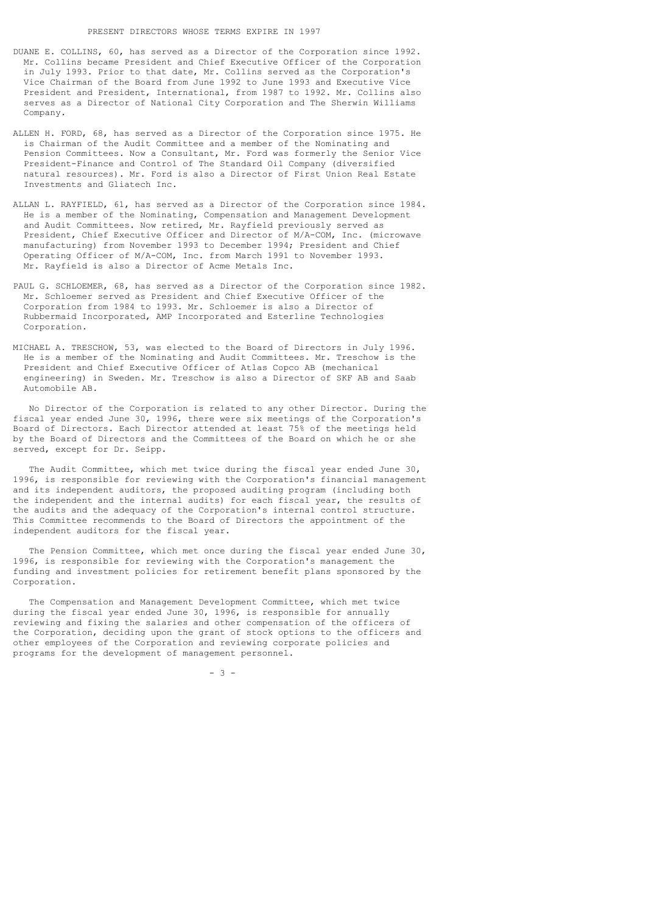- DUANE E. COLLINS, 60, has served as a Director of the Corporation since 1992. Mr. Collins became President and Chief Executive Officer of the Corporation in July 1993. Prior to that date, Mr. Collins served as the Corporation's Vice Chairman of the Board from June 1992 to June 1993 and Executive Vice President and President, International, from 1987 to 1992. Mr. Collins also serves as a Director of National City Corporation and The Sherwin Williams Company.
- ALLEN H. FORD, 68, has served as a Director of the Corporation since 1975. He is Chairman of the Audit Committee and a member of the Nominating and Pension Committees. Now a Consultant, Mr. Ford was formerly the Senior Vice President-Finance and Control of The Standard Oil Company (diversified natural resources). Mr. Ford is also a Director of First Union Real Estate Investments and Gliatech Inc.
- ALLAN L. RAYFIELD, 61, has served as a Director of the Corporation since 1984. He is a member of the Nominating, Compensation and Management Development and Audit Committees. Now retired, Mr. Rayfield previously served as President, Chief Executive Officer and Director of M/A-COM, Inc. (microwave manufacturing) from November 1993 to December 1994; President and Chief Operating Officer of M/A-COM, Inc. from March 1991 to November 1993. Mr. Rayfield is also a Director of Acme Metals Inc.
- PAUL G. SCHLOEMER, 68, has served as a Director of the Corporation since 1982. Mr. Schloemer served as President and Chief Executive Officer of the Corporation from 1984 to 1993. Mr. Schloemer is also a Director of Rubbermaid Incorporated, AMP Incorporated and Esterline Technologies Corporation.
- MICHAEL A. TRESCHOW, 53, was elected to the Board of Directors in July 1996. He is a member of the Nominating and Audit Committees. Mr. Treschow is the President and Chief Executive Officer of Atlas Copco AB (mechanical engineering) in Sweden. Mr. Treschow is also a Director of SKF AB and Saab Automobile AB.

 No Director of the Corporation is related to any other Director. During the fiscal year ended June 30, 1996, there were six meetings of the Corporation's Board of Directors. Each Director attended at least 75% of the meetings held by the Board of Directors and the Committees of the Board on which he or she served, except for Dr. Seipp.

 The Audit Committee, which met twice during the fiscal year ended June 30, 1996, is responsible for reviewing with the Corporation's financial management and its independent auditors, the proposed auditing program (including both the independent and the internal audits) for each fiscal year, the results of the audits and the adequacy of the Corporation's internal control structure. This Committee recommends to the Board of Directors the appointment of the independent auditors for the fiscal year.

 The Pension Committee, which met once during the fiscal year ended June 30, 1996, is responsible for reviewing with the Corporation's management the funding and investment policies for retirement benefit plans sponsored by the Corporation.

 The Compensation and Management Development Committee, which met twice during the fiscal year ended June 30, 1996, is responsible for annually reviewing and fixing the salaries and other compensation of the officers of the Corporation, deciding upon the grant of stock options to the officers and other employees of the Corporation and reviewing corporate policies and programs for the development of management personnel.

 $- 3 -$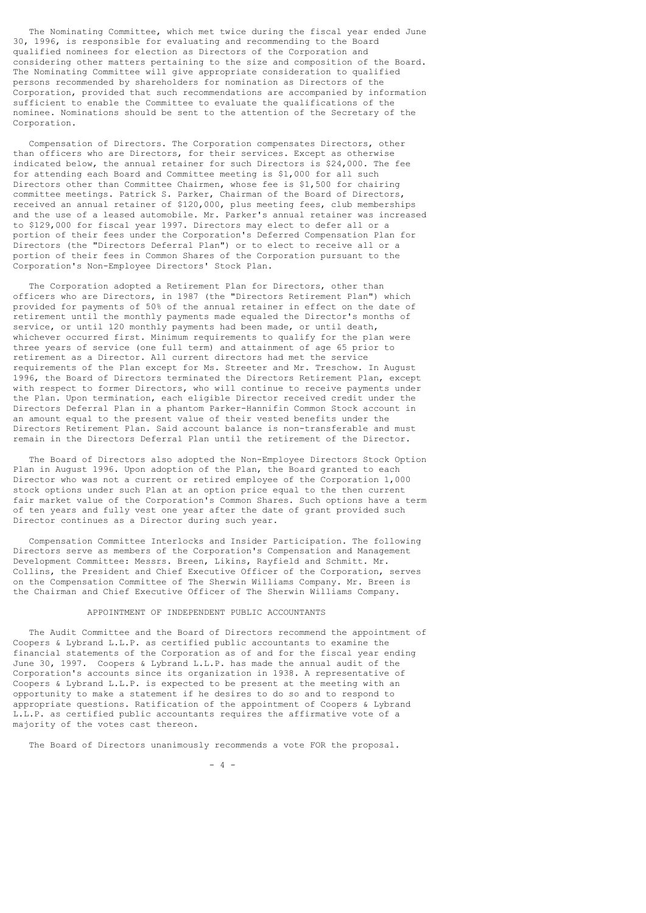The Nominating Committee, which met twice during the fiscal year ended June 30, 1996, is responsible for evaluating and recommending to the Board qualified nominees for election as Directors of the Corporation and considering other matters pertaining to the size and composition of the Board. The Nominating Committee will give appropriate consideration to qualified persons recommended by shareholders for nomination as Directors of the Corporation, provided that such recommendations are accompanied by information sufficient to enable the Committee to evaluate the qualifications of the nominee. Nominations should be sent to the attention of the Secretary of the Corporation.

 Compensation of Directors. The Corporation compensates Directors, other than officers who are Directors, for their services. Except as otherwise indicated below, the annual retainer for such Directors is \$24,000. The fee for attending each Board and Committee meeting is \$1,000 for all such Directors other than Committee Chairmen, whose fee is \$1,500 for chairing committee meetings. Patrick S. Parker, Chairman of the Board of Directors, received an annual retainer of \$120,000, plus meeting fees, club memberships and the use of a leased automobile. Mr. Parker's annual retainer was increased to \$129,000 for fiscal year 1997. Directors may elect to defer all or a portion of their fees under the Corporation's Deferred Compensation Plan for Directors (the "Directors Deferral Plan") or to elect to receive all or a portion of their fees in Common Shares of the Corporation pursuant to the .<br>Corporation's Non-Employee Directors' Stock Plan.

 The Corporation adopted a Retirement Plan for Directors, other than officers who are Directors, in 1987 (the "Directors Retirement Plan") which provided for payments of 50% of the annual retainer in effect on the date of retirement until the monthly payments made equaled the Director's months of service, or until 120 monthly payments had been made, or until death, whichever occurred first. Minimum requirements to qualify for the plan were three years of service (one full term) and attainment of age 65 prior to retirement as a Director. All current directors had met the service requirements of the Plan except for Ms. Streeter and Mr. Treschow. In August 1996, the Board of Directors terminated the Directors Retirement Plan, except with respect to former Directors, who will continue to receive payments under the Plan. Upon termination, each eligible Director received credit under the Directors Deferral Plan in a phantom Parker-Hannifin Common Stock account in an amount equal to the present value of their vested benefits under the Directors Retirement Plan. Said account balance is non-transferable and must remain in the Directors Deferral Plan until the retirement of the Director.

 The Board of Directors also adopted the Non-Employee Directors Stock Option Plan in August 1996. Upon adoption of the Plan, the Board granted to each Director who was not a current or retired employee of the Corporation 1,000 stock options under such Plan at an option price equal to the then current fair market value of the Corporation's Common Shares. Such options have a term of ten years and fully vest one year after the date of grant provided such Director continues as a Director during such year.

 Compensation Committee Interlocks and Insider Participation. The following Directors serve as members of the Corporation's Compensation and Management Development Committee: Messrs. Breen, Likins, Rayfield and Schmitt. Mr. Collins, the President and Chief Executive Officer of the Corporation, serves on the Compensation Committee of The Sherwin Williams Company. Mr. Breen is the Chairman and Chief Executive Officer of The Sherwin Williams Company.

# APPOINTMENT OF INDEPENDENT PUBLIC ACCOUNTANTS

 The Audit Committee and the Board of Directors recommend the appointment of Coopers & Lybrand L.L.P. as certified public accountants to examine the financial statements of the Corporation as of and for the fiscal year ending June 30, 1997. Coopers & Lybrand L.L.P. has made the annual audit of the Corporation's accounts since its organization in 1938. A representative of Coopers & Lybrand L.L.P. is expected to be present at the meeting with an opportunity to make a statement if he desires to do so and to respond to appropriate questions. Ratification of the appointment of Coopers & Lybrand L.L.P. as certified public accountants requires the affirmative vote of a majority of the votes cast thereon.

The Board of Directors unanimously recommends a vote FOR the proposal.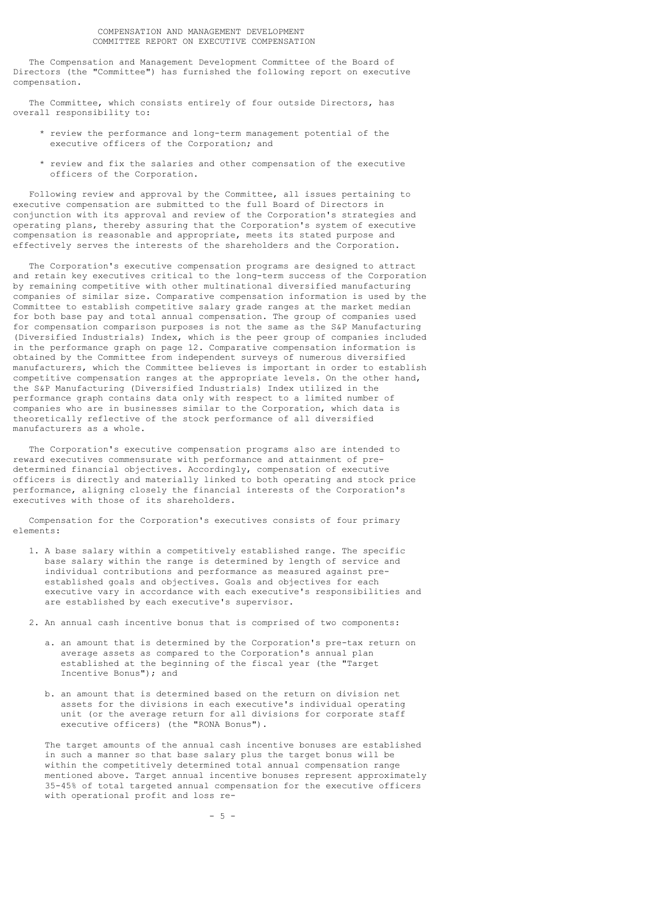The Compensation and Management Development Committee of the Board of Directors (the "Committee") has furnished the following report on executive compensation.

The Committee, which consists entirely of four outside Directors, has overall responsibility to:

- \* review the performance and long-term management potential of the executive officers of the Corporation; and
- \* review and fix the salaries and other compensation of the executive officers of the Corporation.

 Following review and approval by the Committee, all issues pertaining to executive compensation are submitted to the full Board of Directors in conjunction with its approval and review of the Corporation's strategies and operating plans, thereby assuring that the Corporation's system of executive compensation is reasonable and appropriate, meets its stated purpose and effectively serves the interests of the shareholders and the Corporation.

 The Corporation's executive compensation programs are designed to attract and retain key executives critical to the long-term success of the Corporation by remaining competitive with other multinational diversified manufacturing companies of similar size. Comparative compensation information is used by the Committee to establish competitive salary grade ranges at the market median for both base pay and total annual compensation. The group of companies used for compensation comparison purposes is not the same as the S&P Manufacturing (Diversified Industrials) Index, which is the peer group of companies included in the performance graph on page 12. Comparative compensation information is obtained by the Committee from independent surveys of numerous diversified manufacturers, which the Committee believes is important in order to establish competitive compensation ranges at the appropriate levels. On the other hand, the S&P Manufacturing (Diversified Industrials) Index utilized in the performance graph contains data only with respect to a limited number of companies who are in businesses similar to the Corporation, which data is theoretically reflective of the stock performance of all diversified manufacturers as a whole.

 The Corporation's executive compensation programs also are intended to reward executives commensurate with performance and attainment of predetermined financial objectives. Accordingly, compensation of executive officers is directly and materially linked to both operating and stock price performance, aligning closely the financial interests of the Corporation's executives with those of its shareholders.

 Compensation for the Corporation's executives consists of four primary elements:

- 1. A base salary within a competitively established range. The specific base salary within the range is determined by length of service and individual contributions and performance as measured against pre established goals and objectives. Goals and objectives for each executive vary in accordance with each executive's responsibilities and are established by each executive's supervisor.
- 2. An annual cash incentive bonus that is comprised of two components:
	- a. an amount that is determined by the Corporation's pre-tax return on average assets as compared to the Corporation's annual plan established at the beginning of the fiscal year (the "Target Incentive Bonus"); and
	- b. an amount that is determined based on the return on division net assets for the divisions in each executive's individual operating unit (or the average return for all divisions for corporate staff executive officers) (the "RONA Bonus").

 The target amounts of the annual cash incentive bonuses are established in such a manner so that base salary plus the target bonus will be within the competitively determined total annual compensation range mentioned above. Target annual incentive bonuses represent approximately 35-45% of total targeted annual compensation for the executive officers with operational profit and loss re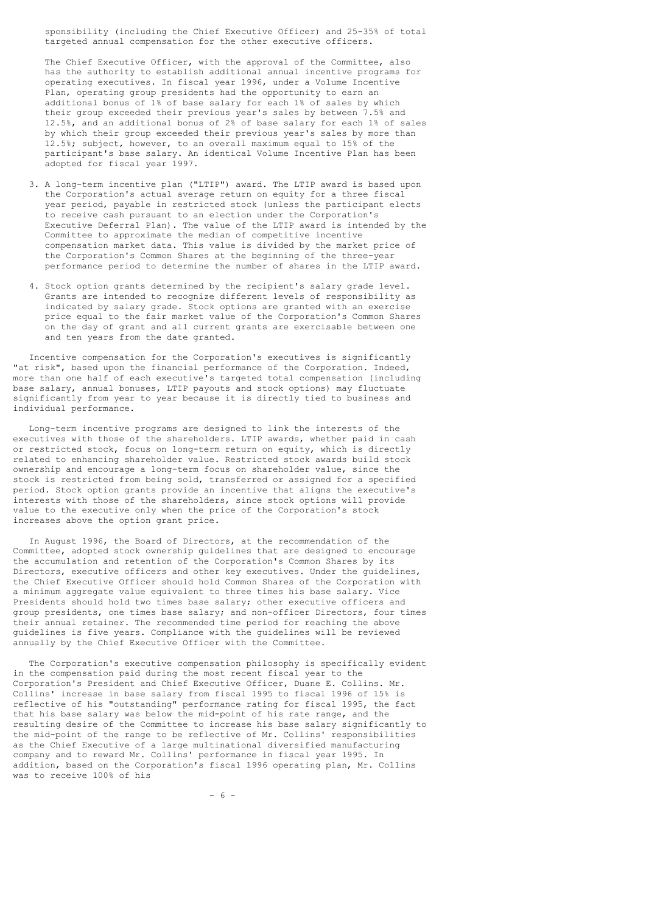sponsibility (including the Chief Executive Officer) and 25-35% of total targeted annual compensation for the other executive officers.

 The Chief Executive Officer, with the approval of the Committee, also has the authority to establish additional annual incentive programs for operating executives. In fiscal year 1996, under a Volume Incentive Plan, operating group presidents had the opportunity to earn an additional bonus of 1% of base salary for each 1% of sales by which their group exceeded their previous year's sales by between 7.5% and 12.5%, and an additional bonus of 2% of base salary for each 1% of sales by which their group exceeded their previous year's sales by more than 12.5%; subject, however, to an overall maximum equal to 15% of the participant's base salary. An identical Volume Incentive Plan has been adopted for fiscal year 1997.

- 3. A long-term incentive plan ("LTIP") award. The LTIP award is based upon the Corporation's actual average return on equity for a three fiscal year period, payable in restricted stock (unless the participant elects to receive cash pursuant to an election under the Corporation's Executive Deferral Plan). The value of the LTIP award is intended by the Committee to approximate the median of competitive incentive compensation market data. This value is divided by the market price of the Corporation's Common Shares at the beginning of the three-year performance period to determine the number of shares in the LTIP award.
- 4. Stock option grants determined by the recipient's salary grade level. Grants are intended to recognize different levels of responsibility as indicated by salary grade. Stock options are granted with an exercise price equal to the fair market value of the Corporation's Common Shares on the day of grant and all current grants are exercisable between one and ten years from the date granted.

 Incentive compensation for the Corporation's executives is significantly "at risk", based upon the financial performance of the Corporation. Indeed, more than one half of each executive's targeted total compensation (including base salary, annual bonuses, LTIP payouts and stock options) may fluctuate significantly from year to year because it is directly tied to business and individual performance.

 Long-term incentive programs are designed to link the interests of the executives with those of the shareholders. LTIP awards, whether paid in cash or restricted stock, focus on long-term return on equity, which is directly related to enhancing shareholder value. Restricted stock awards build stock ownership and encourage a long-term focus on shareholder value, since the stock is restricted from being sold, transferred or assigned for a specified period. Stock option grants provide an incentive that aligns the executive's interests with those of the shareholders, since stock options will provide value to the executive only when the price of the Corporation's stock increases above the option grant price.

 In August 1996, the Board of Directors, at the recommendation of the Committee, adopted stock ownership guidelines that are designed to encourage the accumulation and retention of the Corporation's Common Shares by its Directors, executive officers and other key executives. Under the guidelines, the Chief Executive Officer should hold Common Shares of the Corporation with a minimum aggregate value equivalent to three times his base salary. Vice Presidents should hold two times base salary; other executive officers and group presidents, one times base salary; and non-officer Directors, four times their annual retainer. The recommended time period for reaching the above guidelines is five years. Compliance with the guidelines will be reviewed annually by the Chief Executive Officer with the Committee.

 The Corporation's executive compensation philosophy is specifically evident in the compensation paid during the most recent fiscal year to the Corporation's President and Chief Executive Officer, Duane E. Collins. Mr. Collins' increase in base salary from fiscal 1995 to fiscal 1996 of 15% is reflective of his "outstanding" performance rating for fiscal 1995, the fact that his base salary was below the mid-point of his rate range, and the resulting desire of the Committee to increase his base salary significantly to the mid-point of the range to be reflective of Mr. Collins' responsibilities as the Chief Executive of a large multinational diversified manufacturing company and to reward Mr. Collins' performance in fiscal year 1995. In addition, based on the Corporation's fiscal 1996 operating plan, Mr. Collins was to receive 100% of his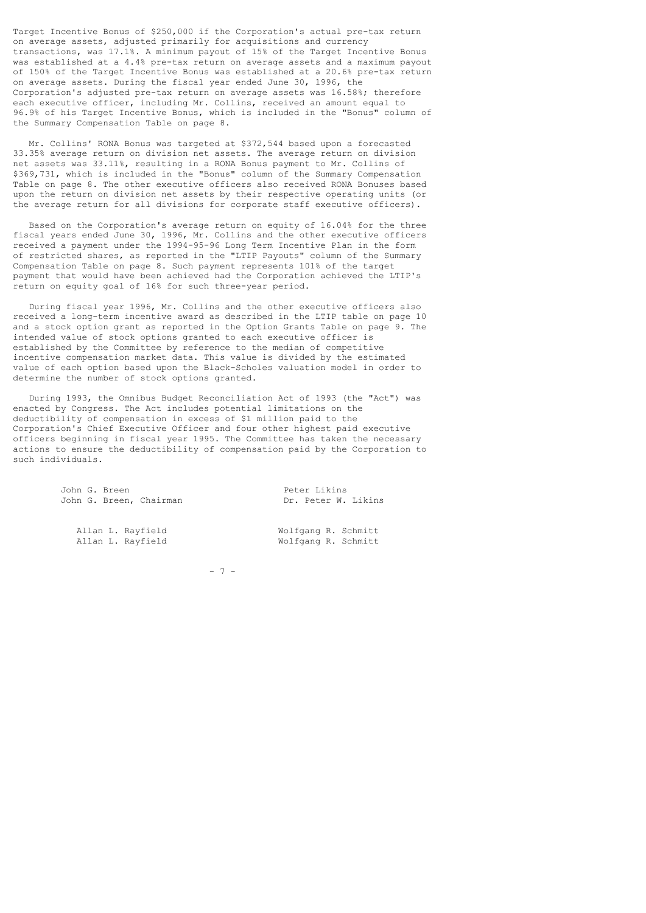Target Incentive Bonus of \$250,000 if the Corporation's actual pre-tax return on average assets, adjusted primarily for acquisitions and currency transactions, was 17.1%. A minimum payout of 15% of the Target Incentive Bonus was established at a 4.4% pre-tax return on average assets and a maximum payout of 150% of the Target Incentive Bonus was established at a 20.6% pre-tax return on average assets. During the fiscal year ended June 30, 1996, the Corporation's adjusted pre-tax return on average assets was 16.58%; therefore each executive officer, including Mr. Collins, received an amount equal to 96.9% of his Target Incentive Bonus, which is included in the "Bonus" column of the Summary Compensation Table on page 8.

 Mr. Collins' RONA Bonus was targeted at \$372,544 based upon a forecasted 33.35% average return on division net assets. The average return on division net assets was 33.11%, resulting in a RONA Bonus payment to Mr. Collins of \$369,731, which is included in the "Bonus" column of the Summary Compensation Table on page 8. The other executive officers also received RONA Bonuses based upon the return on division net assets by their respective operating units (or the average return for all divisions for corporate staff executive officers).

 Based on the Corporation's average return on equity of 16.04% for the three fiscal years ended June 30, 1996, Mr. Collins and the other executive officers received a payment under the 1994-95-96 Long Term Incentive Plan in the form of restricted shares, as reported in the "LTIP Payouts" column of the Summary Compensation Table on page 8. Such payment represents 101% of the target payment that would have been achieved had the Corporation achieved the LTIP's return on equity goal of 16% for such three-year period.

 During fiscal year 1996, Mr. Collins and the other executive officers also received a long-term incentive award as described in the LTIP table on page 10 and a stock option grant as reported in the Option Grants Table on page 9. The intended value of stock options granted to each executive officer is established by the Committee by reference to the median of competitive incentive compensation market data. This value is divided by the estimated value of each option based upon the Black-Scholes valuation model in order to determine the number of stock options granted.

 During 1993, the Omnibus Budget Reconciliation Act of 1993 (the "Act") was enacted by Congress. The Act includes potential limitations on the deductibility of compensation in excess of \$1 million paid to the Corporation's Chief Executive Officer and four other highest paid executive officers beginning in fiscal year 1995. The Committee has taken the necessary actions to ensure the deductibility of compensation paid by the Corporation to such individuals.

> John G. Breen<br>John G. Breen, Chairman (1997) Dr. Peter W. Likins John G. Breen, Chairman

Allan L. Rayfield Wolfgang R. Schmitt<br>Allan L. Rayfield Wolfgang R. Schmitt

Wolfgang R. Schmitt

- 7 -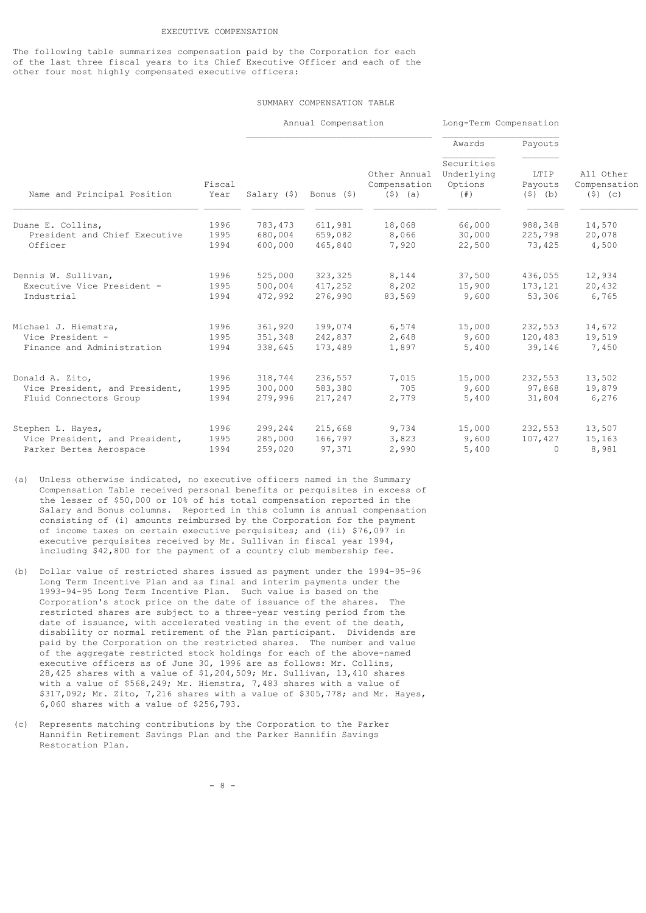### EXECUTIVE COMPENSATION

The following table summarizes compensation paid by the Corporation for each of the last three fiscal years to its Chief Executive Officer and each of the other four most highly compensated executive officers:

### SUMMARY COMPENSATION TABLE

|                                                           |                | Annual Compensation                  |                    |                                           | Long-Term Compensation                        |                              |                                      |  |
|-----------------------------------------------------------|----------------|--------------------------------------|--------------------|-------------------------------------------|-----------------------------------------------|------------------------------|--------------------------------------|--|
|                                                           |                |                                      |                    |                                           | Awards                                        | Payouts                      |                                      |  |
| Name and Principal Position                               | Fiscal<br>Year | Salary $(\hat{S})$ Bonus $(\hat{S})$ |                    | Other Annual<br>Compensation<br>$(5)$ (a) | Securities<br>Underlying<br>Options<br>(  # ) | LTIP<br>Payouts<br>$(5)$ (b) | All Other<br>Compensation<br>(5) (c) |  |
| Duane E. Collins,                                         | 1996           | 783,473                              | 611,981            | 18,068                                    | 66,000                                        | 988,348                      | 14,570                               |  |
| President and Chief Executive<br>Officer                  | 1995<br>1994   | 680,004<br>600,000                   | 659,082<br>465,840 | 8,066<br>7,920                            | 30,000<br>22,500                              | 225,798<br>73,425            | 20,078<br>4,500                      |  |
| Dennis W. Sullivan,                                       | 1996           | 525,000                              | 323,325            | 8,144                                     | 37,500                                        | 436,055                      | 12,934                               |  |
| Executive Vice President -<br>Industrial                  | 1995<br>1994   | 500,004<br>472,992                   | 417,252<br>276,990 | 8,202<br>83,569                           | 15,900<br>9,600                               | 173,121<br>53,306            | 20,432<br>6,765                      |  |
| Michael J. Hiemstra,                                      | 1996           | 361,920                              | 199,074            | 6,574                                     | 15,000                                        | 232,553                      | 14,672                               |  |
| Vice President -<br>Finance and Administration            | 1995<br>1994   | 351,348<br>338,645                   | 242,837<br>173,489 | 2,648<br>1,897                            | 9,600<br>5,400                                | 120,483<br>39,146            | 19,519<br>7,450                      |  |
| Donald A. Zito,                                           | 1996           | 318,744                              | 236,557            | 7,015                                     | 15,000                                        | 232,553                      | 13,502                               |  |
| Vice President, and President,<br>Fluid Connectors Group  | 1995<br>1994   | 300,000<br>279,996                   | 583,380<br>217,247 | 705<br>2,779                              | 9,600<br>5,400                                | 97,868<br>31,804             | 19,879<br>6,276                      |  |
| Stephen L. Hayes,                                         | 1996           | 299,244                              | 215,668            | 9,734                                     | 15,000                                        | 232,553                      | 13,507                               |  |
| Vice President, and President,<br>Parker Bertea Aerospace | 1995<br>1994   | 285,000<br>259,020                   | 166,797<br>97,371  | 3,823<br>2,990                            | 9,600<br>5,400                                | 107,427<br>$\Omega$          | 15,163<br>8,981                      |  |

- (a) Unless otherwise indicated, no executive officers named in the Summary Compensation Table received personal benefits or perquisites in excess of the lesser of \$50,000 or 10% of his total compensation reported in the Salary and Bonus columns. Reported in this column is annual compensation consisting of (i) amounts reimbursed by the Corporation for the payment of income taxes on certain executive perquisites; and (ii) \$76,097 in executive perquisites received by Mr. Sullivan in fiscal year 1994, including \$42,800 for the payment of a country club membership fee.
- (b) Dollar value of restricted shares issued as payment under the 1994-95-96 Long Term Incentive Plan and as final and interim payments under the 1993-94-95 Long Term Incentive Plan. Such value is based on the Corporation's stock price on the date of issuance of the shares. The restricted shares are subject to a three-year vesting period from the date of issuance, with accelerated vesting in the event of the death, disability or normal retirement of the Plan participant. Dividends are paid by the Corporation on the restricted shares. The number and value of the aggregate restricted stock holdings for each of the above-named executive officers as of June 30, 1996 are as follows: Mr. Collins, 28,425 shares with a value of \$1,204,509; Mr. Sullivan, 13,410 shares with a value of \$568,249; Mr. Hiemstra, 7,483 shares with a value of \$317,092; Mr. Zito, 7,216 shares with a value of \$305,778; and Mr. Hayes, 6,060 shares with a value of \$256,793.
- (c) Represents matching contributions by the Corporation to the Parker Hannifin Retirement Savings Plan and the Parker Hannifin Savings Restoration Plan.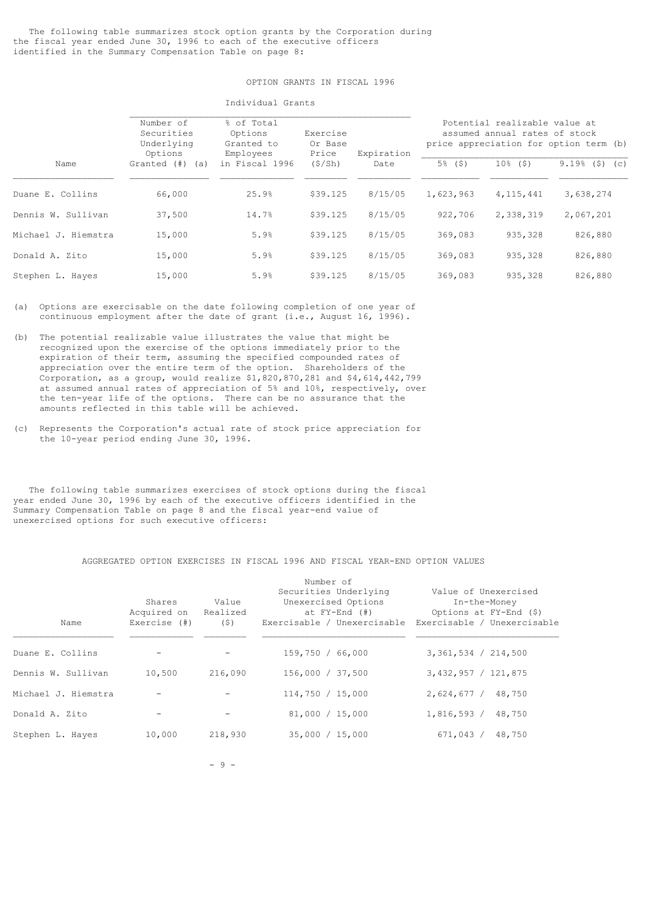# OPTION GRANTS IN FISCAL 1996

Individual Grants

|                     | Number of<br>Securities<br>Underlying<br>Options |                | Exercise<br>Or Base<br>Price | Expiration | Potential realizable value at<br>assumed annual rates of stock<br>price appreciation for option term (b) |                        |                     |
|---------------------|--------------------------------------------------|----------------|------------------------------|------------|----------------------------------------------------------------------------------------------------------|------------------------|---------------------|
| Name                | Granted (#)<br>(a)                               | in Fiscal 1996 | (S/Sh)                       | Date       | $5\%$ (\$)                                                                                               | 10 <sup>°</sup><br>(5) | $9.19%$ (\$)<br>(C) |
| Duane E. Collins    | 66,000                                           | 25.9%          | \$39.125                     | 8/15/05    | 1,623,963                                                                                                | 4, 115, 441            | 3,638,274           |
| Dennis W. Sullivan  | 37,500                                           | 14.7%          | \$39.125                     | 8/15/05    | 922,706                                                                                                  | 2,338,319              | 2,067,201           |
| Michael J. Hiemstra | 15,000                                           | 5.9%           | \$39.125                     | 8/15/05    | 369,083                                                                                                  | 935,328                | 826,880             |
| Donald A. Zito      | 15,000                                           | 5.9%           | \$39.125                     | 8/15/05    | 369,083                                                                                                  | 935,328                | 826,880             |
| Stephen L. Hayes    | 15,000                                           | 5.9%           | \$39.125                     | 8/15/05    | 369,083                                                                                                  | 935,328                | 826,880             |

(a) Options are exercisable on the date following completion of one year of continuous employment after the date of grant (i.e., August 16, 1996).

- (b) The potential realizable value illustrates the value that might be recognized upon the exercise of the options immediately prior to the expiration of their term, assuming the specified compounded rates of appreciation over the entire term of the option. Shareholders of the Corporation, as a group, would realize \$1,820,870,281 and \$4,614,442,799 at assumed annual rates of appreciation of 5% and 10%, respectively, over the ten-year life of the options. There can be no assurance that the amounts reflected in this table will be achieved.
- (c) Represents the Corporation's actual rate of stock price appreciation for the 10-year period ending June 30, 1996.

 The following table summarizes exercises of stock options during the fiscal year ended June 30, 1996 by each of the executive officers identified in the Summary Compensation Table on page 8 and the fiscal year-end value of unexercised options for such executive officers:

### AGGREGATED OPTION EXERCISES IN FISCAL 1996 AND FISCAL YEAR-END OPTION VALUES

|                     |              |                   | Number of                   |                             |
|---------------------|--------------|-------------------|-----------------------------|-----------------------------|
|                     |              |                   | Securities Underlying       | Value of Unexercised        |
|                     | Shares       | Value             | Unexercised Options         | In-the-Money                |
|                     | Acquired on  | Realized          | at $FY-End$ $($ $#$ $)$     | Options at FY-End (\$)      |
| Name                | Exercise (#) | (S)               | Exercisable / Unexercisable | Exercisable / Unexercisable |
| Duane E. Collins    |              | $\qquad \qquad -$ | 159,750 / 66,000            | 3,361,534 / 214,500         |
| Dennis W. Sullivan  | 10,500       | 216,090           | 156,000 / 37,500            | 3,432,957 / 121,875         |
| Michael J. Hiemstra |              |                   | 114,750 / 15,000            | 2,624,677/<br>48,750        |
| Donald A. Zito      |              | $\qquad \qquad -$ | 81,000 / 15,000             | 1,816,593/<br>48,750        |
| Stephen L. Hayes    | 10,000       | 218,930           | 35,000 / 15,000             | 671,043 /<br>48,750         |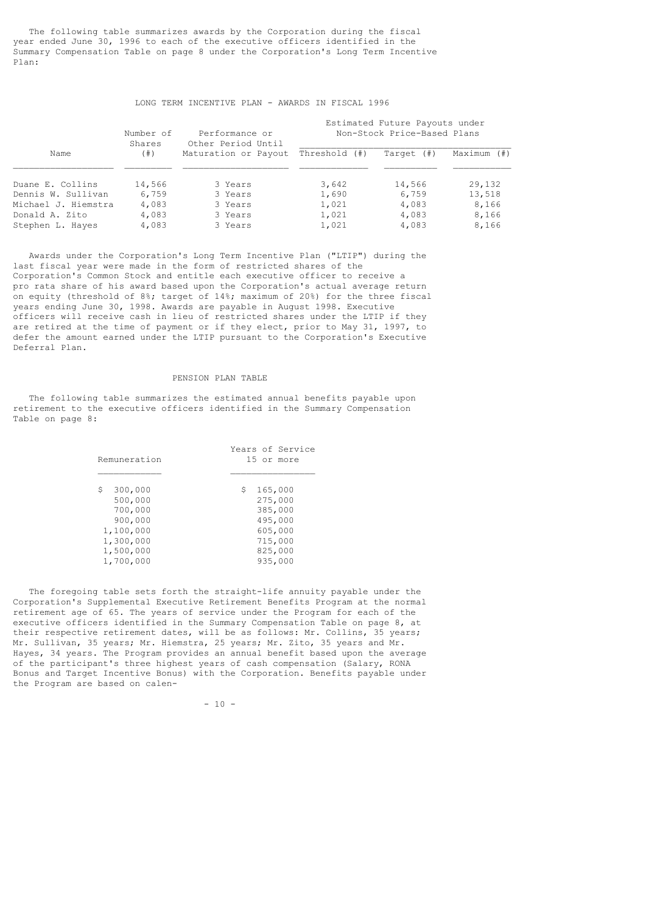The following table summarizes awards by the Corporation during the fiscal year ended June 30, 1996 to each of the executive officers identified in the Summary Compensation Table on page 8 under the Corporation's Long Term Incentive Plan:

### LONG TERM INCENTIVE PLAN - AWARDS IN FISCAL 1996

|                     | Number of<br>Shares | Performance or<br>Other Period Until |               | Estimated Future Payouts under<br>Non-Stock Price-Based Plans |             |
|---------------------|---------------------|--------------------------------------|---------------|---------------------------------------------------------------|-------------|
| Name                | (  # )              | Maturation or Payout                 | Threshold (#) | Target (#)                                                    | Maximum (#) |
| Duane E. Collins    | 14,566              | 3 Years                              | 3,642         | 14,566                                                        | 29,132      |
| Dennis W. Sullivan  | 6,759               | 3 Years                              | 1,690         | 6,759                                                         | 13,518      |
| Michael J. Hiemstra | 4,083               | 3 Years                              | 1,021         | 4,083                                                         | 8,166       |
| Donald A. Zito      | 4,083               | 3 Years                              | 1,021         | 4,083                                                         | 8,166       |
| Stephen L. Hayes    | 4,083               | 3 Years                              | 1,021         | 4,083                                                         | 8,166       |

 Awards under the Corporation's Long Term Incentive Plan ("LTIP") during the last fiscal year were made in the form of restricted shares of the Corporation's Common Stock and entitle each executive officer to receive a pro rata share of his award based upon the Corporation's actual average return on equity (threshold of 8%; target of 14%; maximum of 20%) for the three fiscal years ending June 30, 1998. Awards are payable in August 1998. Executive officers will receive cash in lieu of restricted shares under the LTIP if they are retired at the time of payment or if they elect, prior to May 31, 1997, to defer the amount earned under the LTIP pursuant to the Corporation's Executive Deferral Plan.

### PENSION PLAN TABLE

 The following table summarizes the estimated annual benefits payable upon retirement to the executive officers identified in the Summary Compensation Table on page 8:

| Remuneration  | Years of Service<br>15 or more |
|---------------|--------------------------------|
| \$<br>300,000 | \$<br>165,000                  |
| 500,000       | 275,000                        |
| 700,000       | 385,000                        |
| 900,000       | 495,000                        |
| 1,100,000     | 605,000                        |
| 1,300,000     | 715,000                        |
| 1,500,000     | 825,000                        |
| 1,700,000     | 935,000                        |

 The foregoing table sets forth the straight-life annuity payable under the Corporation's Supplemental Executive Retirement Benefits Program at the normal retirement age of 65. The years of service under the Program for each of the executive officers identified in the Summary Compensation Table on page 8, at their respective retirement dates, will be as follows: Mr. Collins, 35 years; Mr. Sullivan, 35 years; Mr. Hiemstra, 25 years; Mr. Zito, 35 years and Mr. Hayes, 34 years. The Program provides an annual benefit based upon the average of the participant's three highest years of cash compensation (Salary, RONA Bonus and Target Incentive Bonus) with the Corporation. Benefits payable under the Program are based on calen-

 $- 10 -$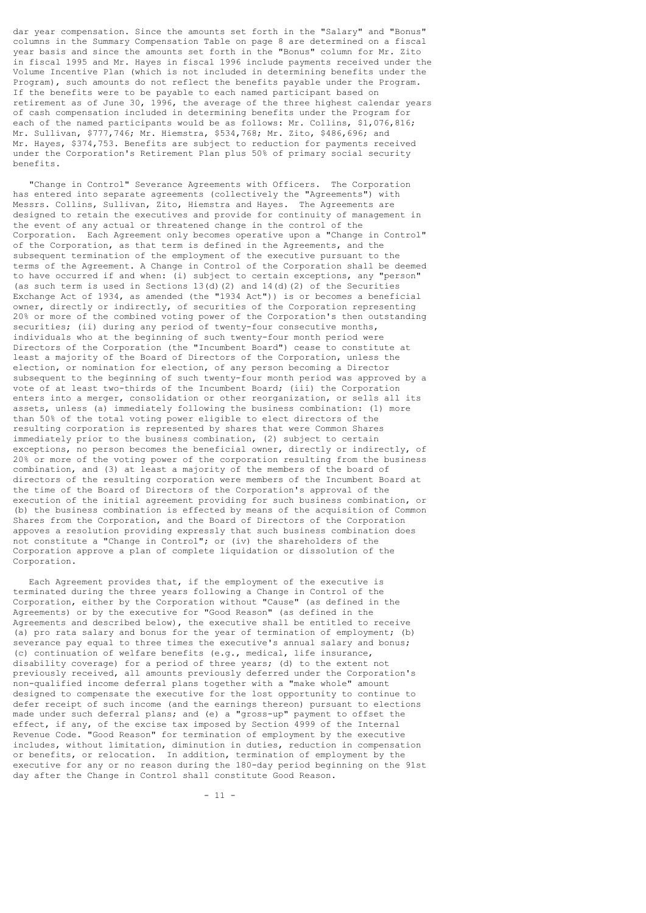dar year compensation. Since the amounts set forth in the "Salary" and "Bonus" columns in the Summary Compensation Table on page 8 are determined on a fiscal year basis and since the amounts set forth in the "Bonus" column for Mr. Zito in fiscal 1995 and Mr. Hayes in fiscal 1996 include payments received under the Volume Incentive Plan (which is not included in determining benefits under the Program), such amounts do not reflect the benefits payable under the Program. If the benefits were to be payable to each named participant based on retirement as of June 30, 1996, the average of the three highest calendar years of cash compensation included in determining benefits under the Program for each of the named participants would be as follows: Mr. Collins, \$1,076,816; Mr. Sullivan, \$777,746; Mr. Hiemstra, \$534,768; Mr. Zito, \$486,696; and Mr. Hayes, \$374,753. Benefits are subject to reduction for payments received under the Corporation's Retirement Plan plus 50% of primary social security benefits.

 "Change in Control" Severance Agreements with Officers. The Corporation has entered into separate agreements (collectively the "Agreements") with Messrs. Collins, Sullivan, Zito, Hiemstra and Hayes. The Agreements are designed to retain the executives and provide for continuity of management in the event of any actual or threatened change in the control of the Corporation. Each Agreement only becomes operative upon a "Change in Control" of the Corporation, as that term is defined in the Agreements, and the subsequent termination of the employment of the executive pursuant to the terms of the Agreement. A Change in Control of the Corporation shall be deemed to have occurred if and when: (i) subject to certain exceptions, any "person" (as such term is used in Sections  $13(d)(2)$  and  $14(d)(2)$  of the Securities Exchange Act of 1934, as amended (the "1934 Act")) is or becomes a beneficial owner, directly or indirectly, of securities of the Corporation representing 20% or more of the combined voting power of the Corporation's then outstanding securities; (ii) during any period of twenty-four consecutive months, individuals who at the beginning of such twenty-four month period were Directors of the Corporation (the "Incumbent Board") cease to constitute at least a majority of the Board of Directors of the Corporation, unless the election, or nomination for election, of any person becoming a Director subsequent to the beginning of such twenty-four month period was approved by a vote of at least two-thirds of the Incumbent Board; (iii) the Corporation enters into a merger, consolidation or other reorganization, or sells all its assets, unless (a) immediately following the business combination: (1) more than 50% of the total voting power eligible to elect directors of the resulting corporation is represented by shares that were Common Shares immediately prior to the business combination, (2) subject to certain exceptions, no person becomes the beneficial owner, directly or indirectly, of 20% or more of the voting power of the corporation resulting from the business combination, and (3) at least a majority of the members of the board of directors of the resulting corporation were members of the Incumbent Board at the time of the Board of Directors of the Corporation's approval of the execution of the initial agreement providing for such business combination, or (b) the business combination is effected by means of the acquisition of Common Shares from the Corporation, and the Board of Directors of the Corporation appoves a resolution providing expressly that such business combination does not constitute a "Change in Control"; or (iv) the shareholders of the Corporation approve a plan of complete liquidation or dissolution of the Corporation.

 Each Agreement provides that, if the employment of the executive is terminated during the three years following a Change in Control of the Corporation, either by the Corporation without "Cause" (as defined in the Agreements) or by the executive for "Good Reason" (as defined in the Agreements and described below), the executive shall be entitled to receive (a) pro rata salary and bonus for the year of termination of employment; (b) severance pay equal to three times the executive's annual salary and bonus; (c) continuation of welfare benefits (e.g., medical, life insurance, disability coverage) for a period of three years; (d) to the extent not previously received, all amounts previously deferred under the Corporation's non-qualified income deferral plans together with a "make whole" amount designed to compensate the executive for the lost opportunity to continue to defer receipt of such income (and the earnings thereon) pursuant to elections made under such deferral plans; and (e) a "gross-up" payment to offset the effect, if any, of the excise tax imposed by Section 4999 of the Internal Revenue Code. "Good Reason" for termination of employment by the executive includes, without limitation, diminution in duties, reduction in compensation or benefits, or relocation. In addition, termination of employment by the executive for any or no reason during the 180-day period beginning on the 91st day after the Change in Control shall constitute Good Reason.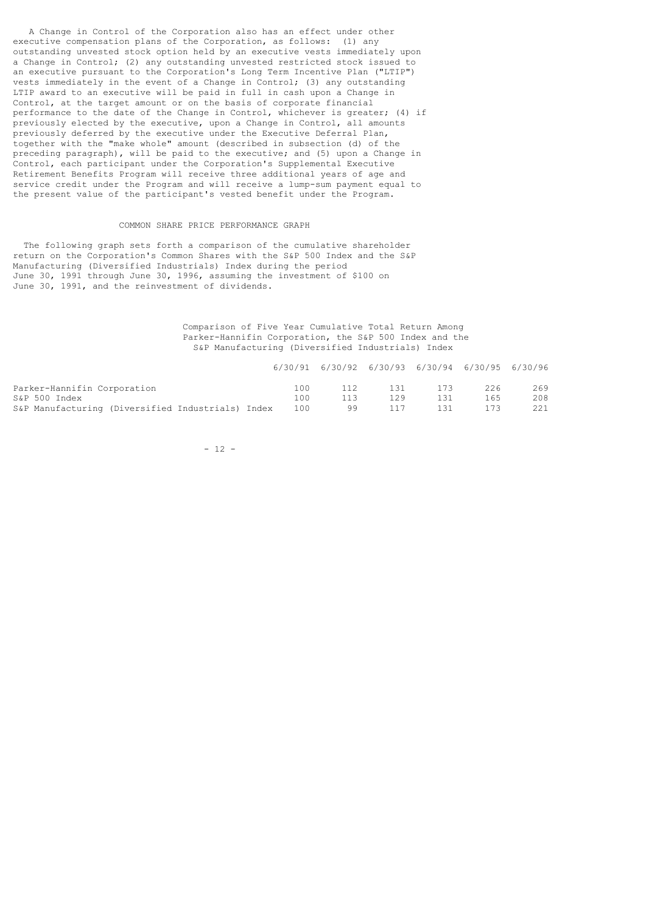A Change in Control of the Corporation also has an effect under other executive compensation plans of the Corporation, as follows: (1) any outstanding unvested stock option held by an executive vests immediately upon a Change in Control; (2) any outstanding unvested restricted stock issued to an executive pursuant to the Corporation's Long Term Incentive Plan ("LTIP") vests immediately in the event of a Change in Control; (3) any outstanding LTIP award to an executive will be paid in full in cash upon a Change in Control, at the target amount or on the basis of corporate financial performance to the date of the Change in Control, whichever is greater; (4) if previously elected by the executive, upon a Change in Control, all amounts previously deferred by the executive under the Executive Deferral Plan, together with the "make whole" amount (described in subsection (d) of the preceding paragraph), will be paid to the executive; and (5) upon a Change in Control, each participant under the Corporation's Supplemental Executive Retirement Benefits Program will receive three additional years of age and service credit under the Program and will receive a lump-sum payment equal to the present value of the participant's vested benefit under the Program.

# COMMON SHARE PRICE PERFORMANCE GRAPH

 The following graph sets forth a comparison of the cumulative shareholder return on the Corporation's Common Shares with the S&P 500 Index and the S&P Manufacturing (Diversified Industrials) Index during the period June 30, 1991 through June 30, 1996, assuming the investment of \$100 on June 30, 1991, and the reinvestment of dividends.

# Comparison of Five Year Cumulative Total Return Among Parker-Hannifin Corporation, the S&P 500 Index and the S&P Manufacturing (Diversified Industrials) Index

|                                                   |     |     | 6/30/91 6/30/92 6/30/93 6/30/94 6/30/95 6/30/96 |     |     |     |
|---------------------------------------------------|-----|-----|-------------------------------------------------|-----|-----|-----|
| Parker-Hannifin Corporation                       | 100 | 112 | 131                                             | 173 | 226 | 269 |
| S&P 500 Index                                     | 100 | 113 | 129                                             | 131 | 165 | 208 |
| S&P Manufacturing (Diversified Industrials) Index | 100 | 99  | 117                                             | 131 | 173 | 221 |

 $- 12 -$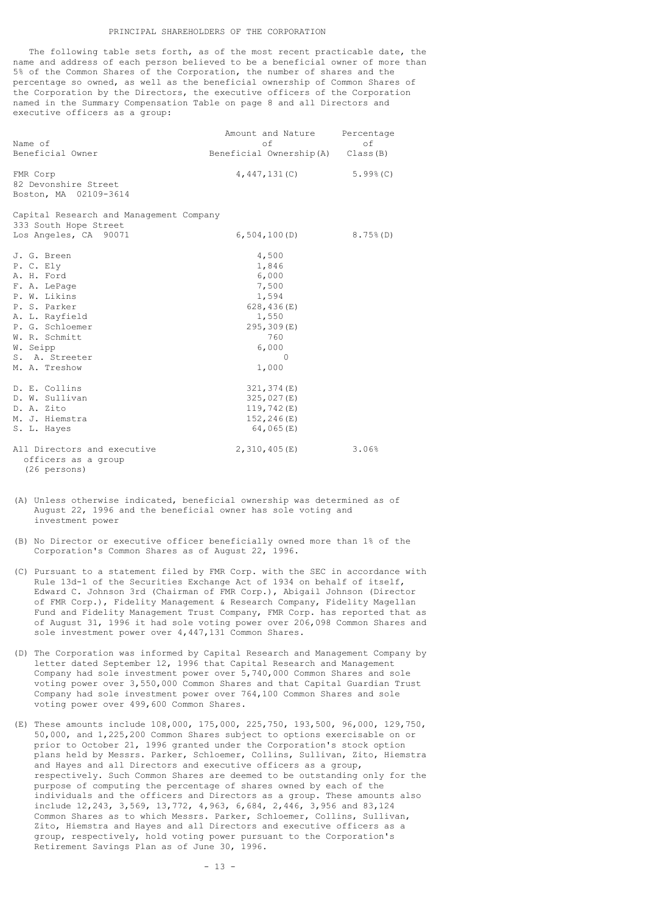The following table sets forth, as of the most recent practicable date, the name and address of each person believed to be a beneficial owner of more than 5% of the Common Shares of the Corporation, the number of shares and the percentage so owned, as well as the beneficial ownership of Common Shares of the Corporation by the Directors, the executive officers of the Corporation named in the Summary Compensation Table on page 8 and all Directors and executive officers as a group:

| Name of<br>Beneficial Owner                                                                                                                                                                 | Amount and Nature Percentage<br>of<br>Beneficial Ownership(A) Class(B)                                                  | οf           |
|---------------------------------------------------------------------------------------------------------------------------------------------------------------------------------------------|-------------------------------------------------------------------------------------------------------------------------|--------------|
| FMR Corp<br>82 Devonshire Street<br>Boston, MA 02109-3614                                                                                                                                   | 4,447,131(C)                                                                                                            | $5.99$ $(C)$ |
| Capital Research and Management Company<br>333 South Hope Street<br>Los Angeles, CA 90071                                                                                                   | 6,504,100(D)                                                                                                            | $8.75\%$ (D) |
| J. G. Breen<br>P. C. Ely<br>A. H. Ford<br>F. A. LePage<br>P. W. Likins<br>P. S. Parker<br>A. L. Rayfield<br>P. G. Schloemer<br>W. R. Schmitt<br>W. Seipp<br>S. A. Streeter<br>M. A. Treshow | 4,500<br>1,846<br>6,000<br>7,500<br>1,594<br>628, 436 $(E)$<br>1,550<br>295,309(E)<br>760<br>6,000<br>$\Omega$<br>1,000 |              |
| D. E. Collins<br>D. W. Sullivan<br>D. A. Zito<br>M. J. Hiemstra<br>S. L. Hayes                                                                                                              | 321, 374(E)<br>325,027(E)<br>119,742(E)<br>152, 246(E)<br>64,065 $(E)$                                                  |              |
| All Directors and executive<br>officers as a group<br>(26 persons)                                                                                                                          | 2,310,405(E)                                                                                                            | 3.06%        |

- (A) Unless otherwise indicated, beneficial ownership was determined as of August 22, 1996 and the beneficial owner has sole voting and investment power
- (B) No Director or executive officer beneficially owned more than 1% of the Corporation's Common Shares as of August 22, 1996.
- (C) Pursuant to a statement filed by FMR Corp. with the SEC in accordance with Rule 13d-1 of the Securities Exchange Act of 1934 on behalf of itself, Edward C. Johnson 3rd (Chairman of FMR Corp.), Abigail Johnson (Director of FMR Corp.), Fidelity Management & Research Company, Fidelity Magellan Fund and Fidelity Management Trust Company, FMR Corp. has reported that as of August 31, 1996 it had sole voting power over 206,098 Common Shares and sole investment power over 4,447,131 Common Shares.
- (D) The Corporation was informed by Capital Research and Management Company by letter dated September 12, 1996 that Capital Research and Management Company had sole investment power over 5,740,000 Common Shares and sole voting power over 3,550,000 Common Shares and that Capital Guardian Trust Company had sole investment power over 764,100 Common Shares and sole voting power over 499,600 Common Shares.
- (E) These amounts include 108,000, 175,000, 225,750, 193,500, 96,000, 129,750, 50,000, and 1,225,200 Common Shares subject to options exercisable on or prior to October 21, 1996 granted under the Corporation's stock option plans held by Messrs. Parker, Schloemer, Collins, Sullivan, Zito, Hiemstra and Hayes and all Directors and executive officers as a group, respectively. Such Common Shares are deemed to be outstanding only for the purpose of computing the percentage of shares owned by each of the individuals and the officers and Directors as a group. These amounts also include 12,243, 3,569, 13,772, 4,963, 6,684, 2,446, 3,956 and 83,124 Common Shares as to which Messrs. Parker, Schloemer, Collins, Sullivan, Zito, Hiemstra and Hayes and all Directors and executive officers as a group, respectively, hold voting power pursuant to the Corporation's Retirement Savings Plan as of June 30, 1996.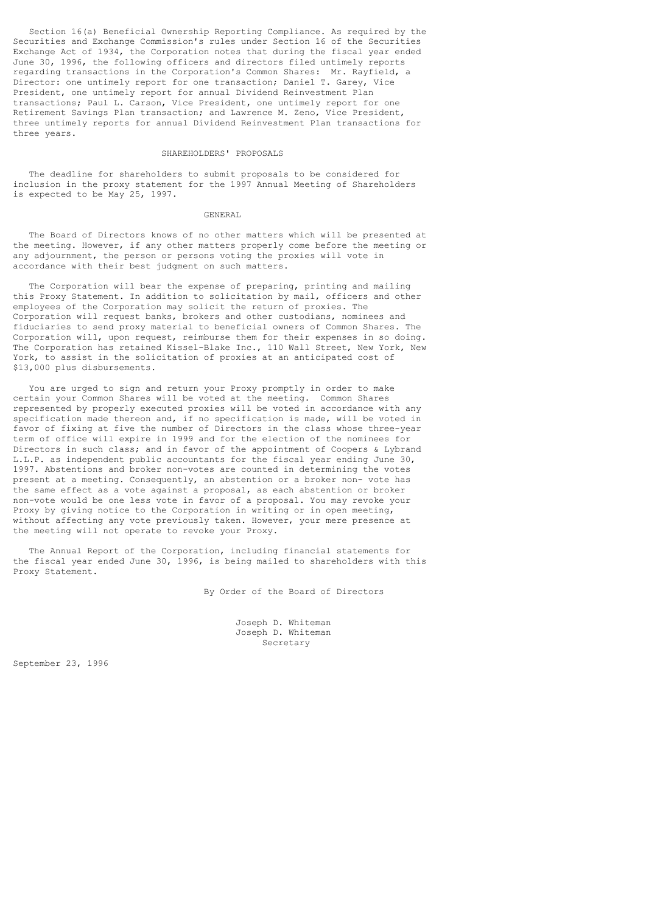Section 16(a) Beneficial Ownership Reporting Compliance. As required by the Securities and Exchange Commission's rules under Section 16 of the Securities Exchange Act of 1934, the Corporation notes that during the fiscal year ended June 30, 1996, the following officers and directors filed untimely reports regarding transactions in the Corporation's Common Shares: Mr. Rayfield, a Director: one untimely report for one transaction; Daniel T. Garey, Vice President, one untimely report for annual Dividend Reinvestment Plan transactions; Paul L. Carson, Vice President, one untimely report for one Retirement Savings Plan transaction; and Lawrence M. Zeno, Vice President, three untimely reports for annual Dividend Reinvestment Plan transactions for three years.

# SHAREHOLDERS' PROPOSALS

 The deadline for shareholders to submit proposals to be considered for inclusion in the proxy statement for the 1997 Annual Meeting of Shareholders is expected to be May 25, 1997.

#### GENERAL

 The Board of Directors knows of no other matters which will be presented at the meeting. However, if any other matters properly come before the meeting or any adjournment, the person or persons voting the proxies will vote in accordance with their best judgment on such matters.

 The Corporation will bear the expense of preparing, printing and mailing this Proxy Statement. In addition to solicitation by mail, officers and other employees of the Corporation may solicit the return of proxies. The Corporation will request banks, brokers and other custodians, nominees and fiduciaries to send proxy material to beneficial owners of Common Shares. The Corporation will, upon request, reimburse them for their expenses in so doing. The Corporation has retained Kissel-Blake Inc., 110 Wall Street, New York, New York, to assist in the solicitation of proxies at an anticipated cost of \$13,000 plus disbursements.

 You are urged to sign and return your Proxy promptly in order to make certain your Common Shares will be voted at the meeting. Common Shares represented by properly executed proxies will be voted in accordance with any specification made thereon and, if no specification is made, will be voted in favor of fixing at five the number of Directors in the class whose three-year term of office will expire in 1999 and for the election of the nominees for Directors in such class; and in favor of the appointment of Coopers & Lybrand L.L.P. as independent public accountants for the fiscal year ending June 30, 1997. Abstentions and broker non-votes are counted in determining the votes present at a meeting. Consequently, an abstention or a broker non- vote has the same effect as a vote against a proposal, as each abstention or broker non-vote would be one less vote in favor of a proposal. You may revoke your Proxy by giving notice to the Corporation in writing or in open meeting, without affecting any vote previously taken. However, your mere presence at the meeting will not operate to revoke your Proxy.

 The Annual Report of the Corporation, including financial statements for the fiscal year ended June 30, 1996, is being mailed to shareholders with this Proxy Statement.

By Order of the Board of Directors

 Joseph D. Whiteman Joseph D. Whiteman Secretary

September 23, 1996